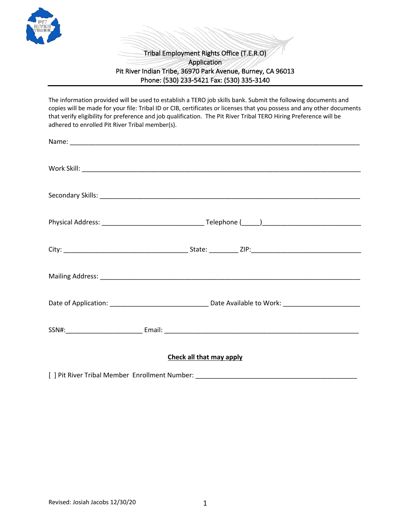

## Tribal Employment Rights Office (T.E.R.O) Application Pit River Indian Tribe, 36970 Park Avenue, Burney, CA 96013 Phone: (530) 233-5421 Fax: (530) 335-3140

The information provided will be used to establish a TERO job skills bank. Submit the following documents and copies will be made for your file: Tribal ID or CIB, certificates or licenses that you possess and any other documents that verify eligibility for preference and job qualification. The Pit River Tribal TERO Hiring Preference will be adhered to enrolled Pit River Tribal member(s).

## **Check all that may apply**

[ ] Pit River Tribal Member Enrollment Number: \_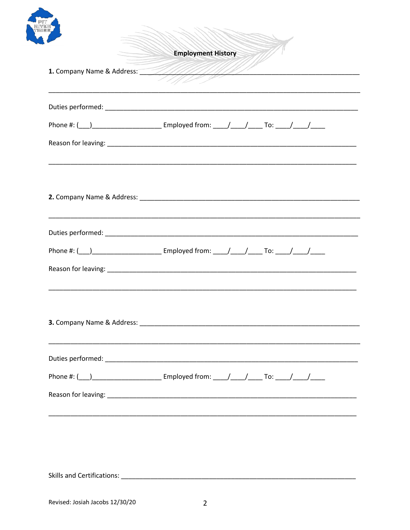| <b>Employment History</b>                                                                               |
|---------------------------------------------------------------------------------------------------------|
|                                                                                                         |
|                                                                                                         |
| Phone #: ( <u>__</u> ) ____________________________ Employed from: _____/ _____/ ______/ _____/ ______/ |
|                                                                                                         |
|                                                                                                         |
|                                                                                                         |
| Phone #: (___)____________________________ Employed from: _____/_____/_________To: _____/_____/______   |
|                                                                                                         |
|                                                                                                         |
|                                                                                                         |
| Phone #: (___)______________________________ Employed from: _____/_____/________To: _____/_____/______  |
| ,我们也不能在这里的人,我们也不能在这里的人,我们也不能在这里的人,我们也不能在这里的人,我们也不能在这里的人,我们也不能在这里的人,我们也不能在这里的人,我们也                       |
|                                                                                                         |
|                                                                                                         |